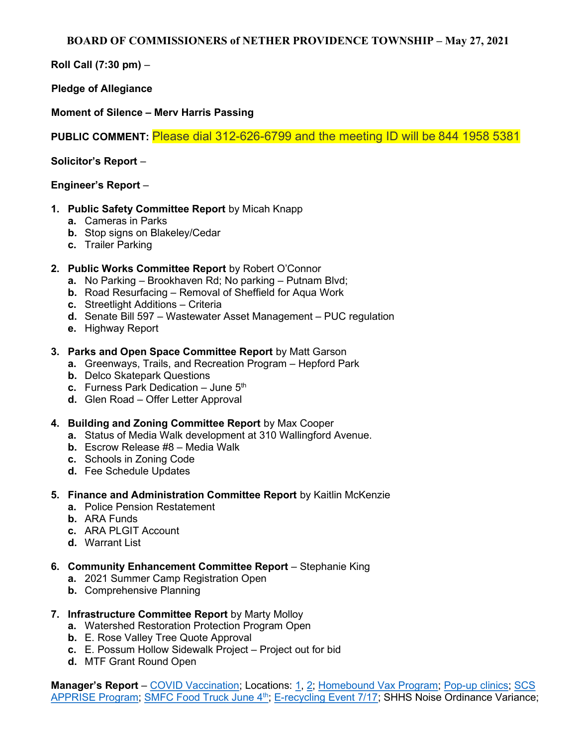BOARD OF COMMISSIONERS of NETHER PROVIDENCE TOWNSHIP – May 27, 2021

Roll Call (7:30 pm) –

Pledge of Allegiance

Moment of Silence – Merv Harris Passing

PUBLIC COMMENT: Please dial 312-626-6799 and the meeting ID will be 844 1958 5381

Solicitor's Report –

## Engineer's Report –

- 1. Public Safety Committee Report by Micah Knapp
	- a. Cameras in Parks
	- b. Stop signs on Blakeley/Cedar
	- c. Trailer Parking
- 2. Public Works Committee Report by Robert O'Connor
	- a. No Parking Brookhaven Rd; No parking Putnam Blvd;
	- b. Road Resurfacing Removal of Sheffield for Aqua Work
	- c. Streetlight Additions Criteria
	- d. Senate Bill 597 Wastewater Asset Management PUC regulation
	- e. Highway Report

## 3. Parks and Open Space Committee Report by Matt Garson

- a. Greenways, Trails, and Recreation Program Hepford Park
- b. Delco Skatepark Questions
- c. Furness Park Dedication  $-$  June  $5<sup>th</sup>$
- d. Glen Road Offer Letter Approval
- 4. Building and Zoning Committee Report by Max Cooper
	- a. Status of Media Walk development at 310 Wallingford Avenue.
	- b. Escrow Release #8 Media Walk
	- c. Schools in Zoning Code
	- d. Fee Schedule Updates
- 5. Finance and Administration Committee Report by Kaitlin McKenzie
	- a. Police Pension Restatement
	- b. ARA Funds
	- c. ARA PLGIT Account
	- d. Warrant List
- 6. Community Enhancement Committee Report Stephanie King
	- a. 2021 Summer Camp Registration Open
	- b. Comprehensive Planning
- 7. Infrastructure Committee Report by Marty Molloy
	- a. Watershed Restoration Protection Program Open
	- b. E. Rose Valley Tree Quote Approval
	- c. E. Possum Hollow Sidewalk Project Project out for bid
	- d. MTF Grant Round Open